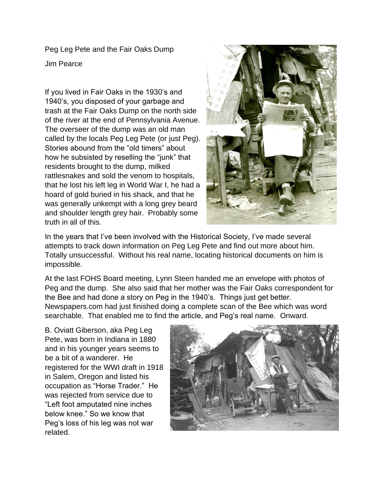Peg Leg Pete and the Fair Oaks Dump

Jim Pearce

If you lived in Fair Oaks in the 1930's and 1940's, you disposed of your garbage and trash at the Fair Oaks Dump on the north side of the river at the end of Pennsylvania Avenue. The overseer of the dump was an old man called by the locals Peg Leg Pete (or just Peg). Stories abound from the "old timers" about how he subsisted by reselling the "junk" that residents brought to the dump, milked rattlesnakes and sold the venom to hospitals, that he lost his left leg in World War I, he had a hoard of gold buried in his shack, and that he was generally unkempt with a long grey beard and shoulder length grey hair. Probably some truth in all of this.



In the years that I've been involved with the Historical Society, I've made several attempts to track down information on Peg Leg Pete and find out more about him. Totally unsuccessful. Without his real name, locating historical documents on him is impossible.

At the last FOHS Board meeting, Lynn Steen handed me an envelope with photos of Peg and the dump. She also said that her mother was the Fair Oaks correspondent for the Bee and had done a story on Peg in the 1940's. Things just get better. Newspapers.com had just finished doing a complete scan of the Bee which was word searchable. That enabled me to find the article, and Peg's real name. Onward.

B. Oviatt Giberson, aka Peg Leg Pete, was born in Indiana in 1880 and in his younger years seems to be a bit of a wanderer. He registered for the WWI draft in 1918 in Salem, Oregon and listed his occupation as "Horse Trader." He was rejected from service due to "Left foot amputated nine inches below knee." So we know that Peg's loss of his leg was not war related.